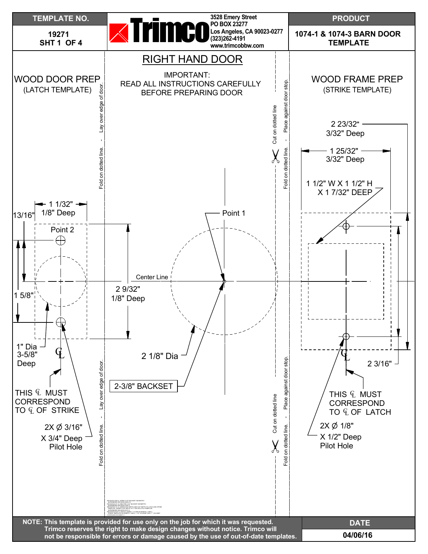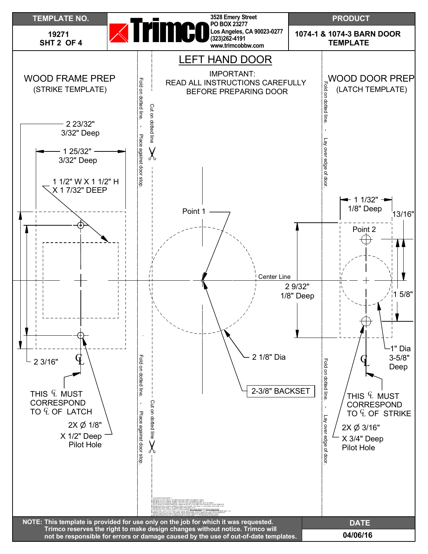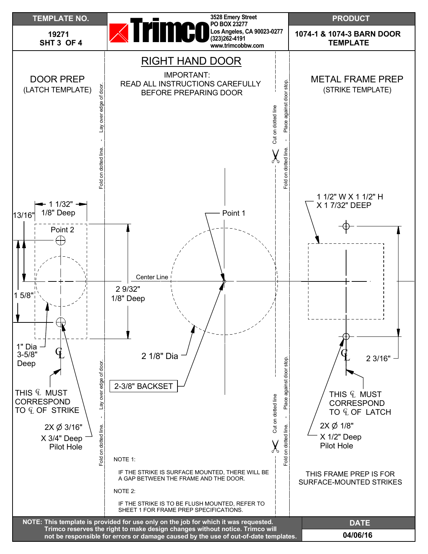